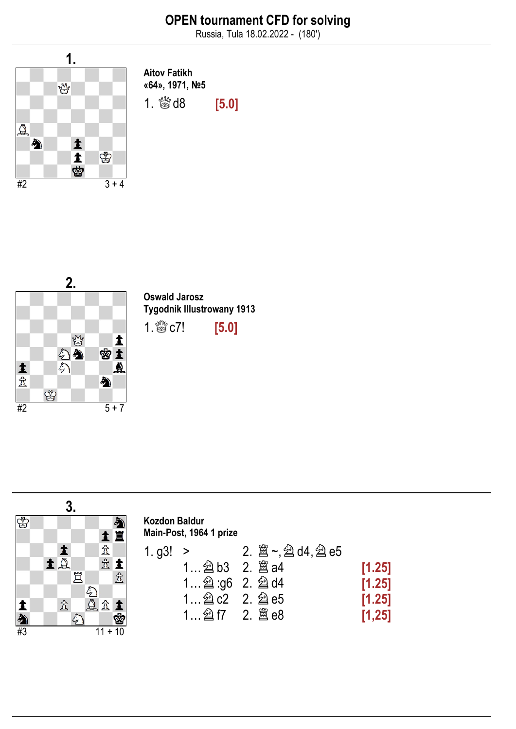Russia, Tula 18.02.2022 - (180')



Aitov Fatikh «64», 1971, №5

1.  $\frac{1000}{1000}$  d8 [5.0]



Oswald Jarosz Tygodnik Illustrowany 1913

1. **\$\$** c7! [5.0]

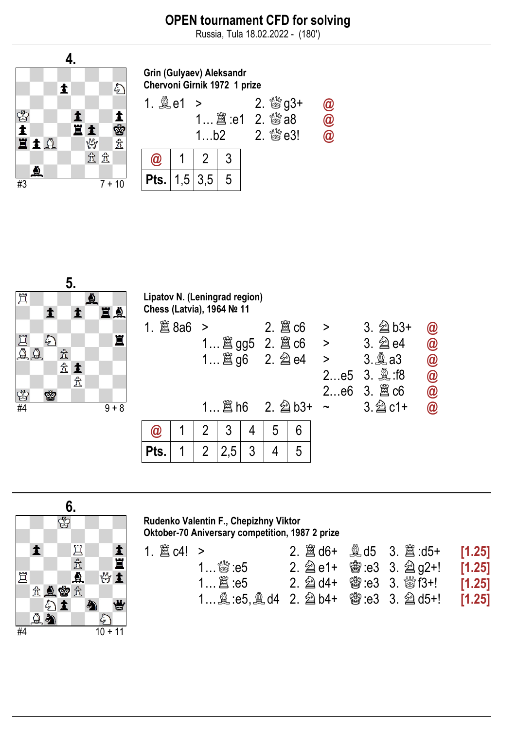Russia, Tula 18.02.2022 - (180')



Grin (Gulyaev) Aleksandr Chervoni Girnik 1972 1 prize







#### Rudenko Valentin F., Chepizhny Viktor Oktober-70 Aniversary competition, 1987 2 prize

| 1… ﷺ :e5 |  |                                                                                                                                                                            |
|----------|--|----------------------------------------------------------------------------------------------------------------------------------------------------------------------------|
|          |  |                                                                                                                                                                            |
|          |  |                                                                                                                                                                            |
|          |  | $2.$ 2 d6+ $\frac{3}{24}$ d5 $3.$ 2 d5+ [1.25]<br>2. $\hat{\triangle}$ e1+ $\hat{\circ}$ e3 3. $\hat{\triangle}$ g2+! [1.25]<br>1 இ:e5, இd4 2. 2 b4+ 窗:e3 3. 2 d5+! [1.25] |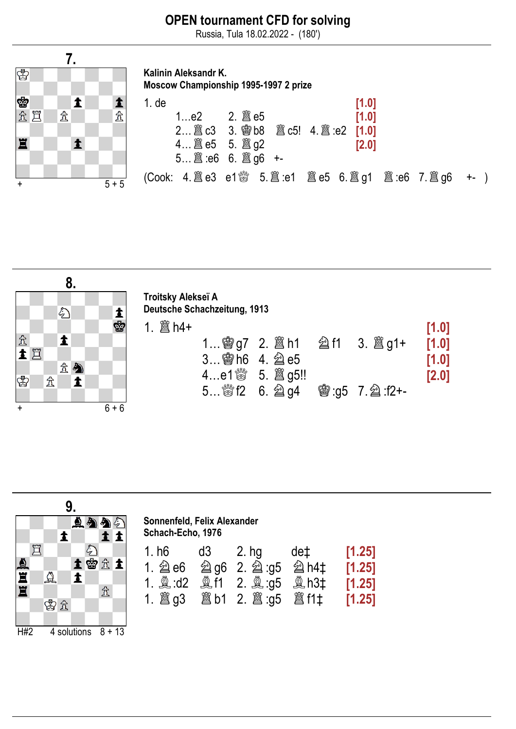Russia, Tula 18.02.2022 - (180')



Kalinin Aleksandr K. Moscow Championship 1995-1997 2 prize 1. de  $[1.0]$ 

| 1e2<br>2 圖 c3 3. 彎 b8 圖 c5! 4. 圖 :e2 [1.0]<br>4 $\hat{\mathbb{E}}$ e5 5. $\hat{\mathbb{E}}$ g2<br>$5$ $\ddot{\Xi}$ :e6 $6.$ $\ddot{\Xi}$ q6 +- |  | [1.0]<br>[2.0] |  |  |
|------------------------------------------------------------------------------------------------------------------------------------------------|--|----------------|--|--|
| (Cook: 4. 圖 e3 e1 ៉ 5. 圖 :e1 圖 e5 6. 圖 g1 圖 :e6 7. 圖 g6 +- )                                                                                   |  |                |  |  |



|              |                     | 9.<br>日外    |                              | Sonnenfeld, Felix Alexander<br>Schach-Echo, 1976 |                |                                |     |                                      |
|--------------|---------------------|-------------|------------------------------|--------------------------------------------------|----------------|--------------------------------|-----|--------------------------------------|
| <b>SERVE</b> | ٣<br>$\Delta$<br>曾立 | E           | 土曾立土<br>$\mathbf{\hat{\pi}}$ | 1. h6<br>1. $\hat{\mathfrak{g}}$ е6              | d <sub>3</sub> | $2.$ hg<br>2 g6 2. 2 :g5 2 h4‡ | de‡ | [1.25]<br>[1.25]<br>[1.25]<br>[1.25] |
| H#2          |                     | 4 solutions | $+13$<br>8                   |                                                  |                |                                |     |                                      |